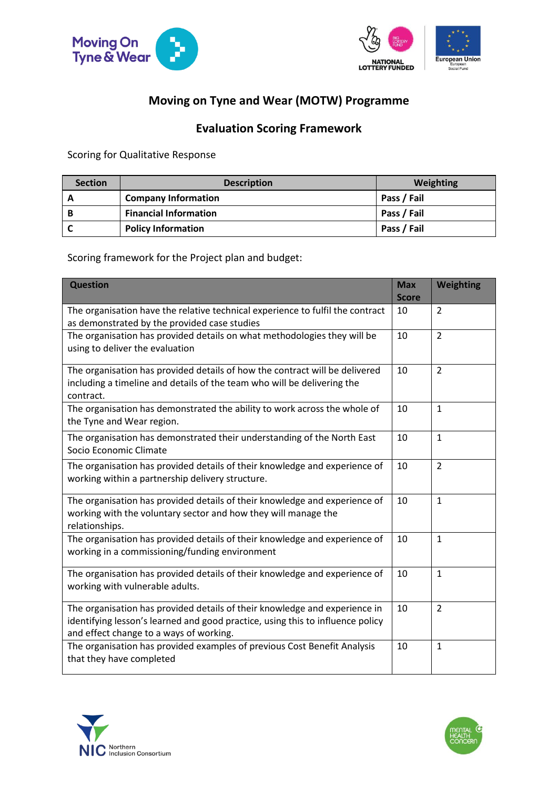



## **Moving on Tyne and Wear (MOTW) Programme**

## **Evaluation Scoring Framework**

Scoring for Qualitative Response

| <b>Section</b> | <b>Description</b>           | Weighting   |
|----------------|------------------------------|-------------|
| A              | <b>Company Information</b>   | Pass / Fail |
| B              | <b>Financial Information</b> | Pass / Fail |
|                | <b>Policy Information</b>    | Pass / Fail |

Scoring framework for the Project plan and budget:

| <b>Question</b>                                                                                                                                                                                         | <b>Max</b><br><b>Score</b> | <b>Weighting</b> |
|---------------------------------------------------------------------------------------------------------------------------------------------------------------------------------------------------------|----------------------------|------------------|
| The organisation have the relative technical experience to fulfil the contract<br>as demonstrated by the provided case studies                                                                          | 10                         | $\overline{2}$   |
| The organisation has provided details on what methodologies they will be<br>using to deliver the evaluation                                                                                             | 10                         | $\overline{2}$   |
| The organisation has provided details of how the contract will be delivered<br>including a timeline and details of the team who will be delivering the<br>contract.                                     | 10                         | $\overline{2}$   |
| The organisation has demonstrated the ability to work across the whole of<br>the Tyne and Wear region.                                                                                                  | 10                         | $\mathbf{1}$     |
| The organisation has demonstrated their understanding of the North East<br>Socio Economic Climate                                                                                                       | 10                         | $\mathbf{1}$     |
| The organisation has provided details of their knowledge and experience of<br>working within a partnership delivery structure.                                                                          | 10                         | $\overline{2}$   |
| The organisation has provided details of their knowledge and experience of<br>working with the voluntary sector and how they will manage the<br>relationships.                                          | 10                         | $\mathbf{1}$     |
| The organisation has provided details of their knowledge and experience of<br>working in a commissioning/funding environment                                                                            | 10                         | $\mathbf{1}$     |
| The organisation has provided details of their knowledge and experience of<br>working with vulnerable adults.                                                                                           | 10                         | $\mathbf{1}$     |
| The organisation has provided details of their knowledge and experience in<br>identifying lesson's learned and good practice, using this to influence policy<br>and effect change to a ways of working. | 10                         | $\overline{2}$   |
| The organisation has provided examples of previous Cost Benefit Analysis<br>that they have completed                                                                                                    | 10                         | $\mathbf{1}$     |



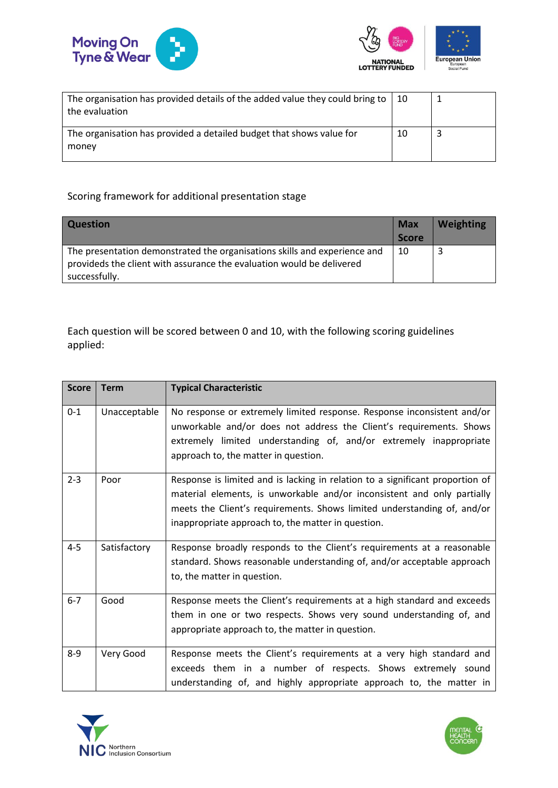



| The organisation has provided details of the added value they could bring to<br>the evaluation | $\vert$ 10 |  |
|------------------------------------------------------------------------------------------------|------------|--|
| The organisation has provided a detailed budget that shows value for<br>money                  | 10         |  |

## Scoring framework for additional presentation stage

| <b>Question</b>                                                           | <b>Max</b>   | <b>Weighting</b> |
|---------------------------------------------------------------------------|--------------|------------------|
|                                                                           | <b>Score</b> |                  |
| The presentation demonstrated the organisations skills and experience and | -10          |                  |
| provideds the client with assurance the evaluation would be delivered     |              |                  |
| successfully.                                                             |              |                  |

Each question will be scored between 0 and 10, with the following scoring guidelines applied:

| <b>Score</b> | <b>Term</b>  | <b>Typical Characteristic</b>                                                                                                                                                                                                                                                             |
|--------------|--------------|-------------------------------------------------------------------------------------------------------------------------------------------------------------------------------------------------------------------------------------------------------------------------------------------|
| $0 - 1$      | Unacceptable | No response or extremely limited response. Response inconsistent and/or<br>unworkable and/or does not address the Client's requirements. Shows<br>extremely limited understanding of, and/or extremely inappropriate<br>approach to, the matter in question.                              |
| $2 - 3$      | Poor         | Response is limited and is lacking in relation to a significant proportion of<br>material elements, is unworkable and/or inconsistent and only partially<br>meets the Client's requirements. Shows limited understanding of, and/or<br>inappropriate approach to, the matter in question. |
| $4 - 5$      | Satisfactory | Response broadly responds to the Client's requirements at a reasonable<br>standard. Shows reasonable understanding of, and/or acceptable approach<br>to, the matter in question.                                                                                                          |
| $6 - 7$      | Good         | Response meets the Client's requirements at a high standard and exceeds<br>them in one or two respects. Shows very sound understanding of, and<br>appropriate approach to, the matter in question.                                                                                        |
| $8 - 9$      | Very Good    | Response meets the Client's requirements at a very high standard and<br>exceeds them in a number of respects. Shows extremely sound<br>understanding of, and highly appropriate approach to, the matter in                                                                                |